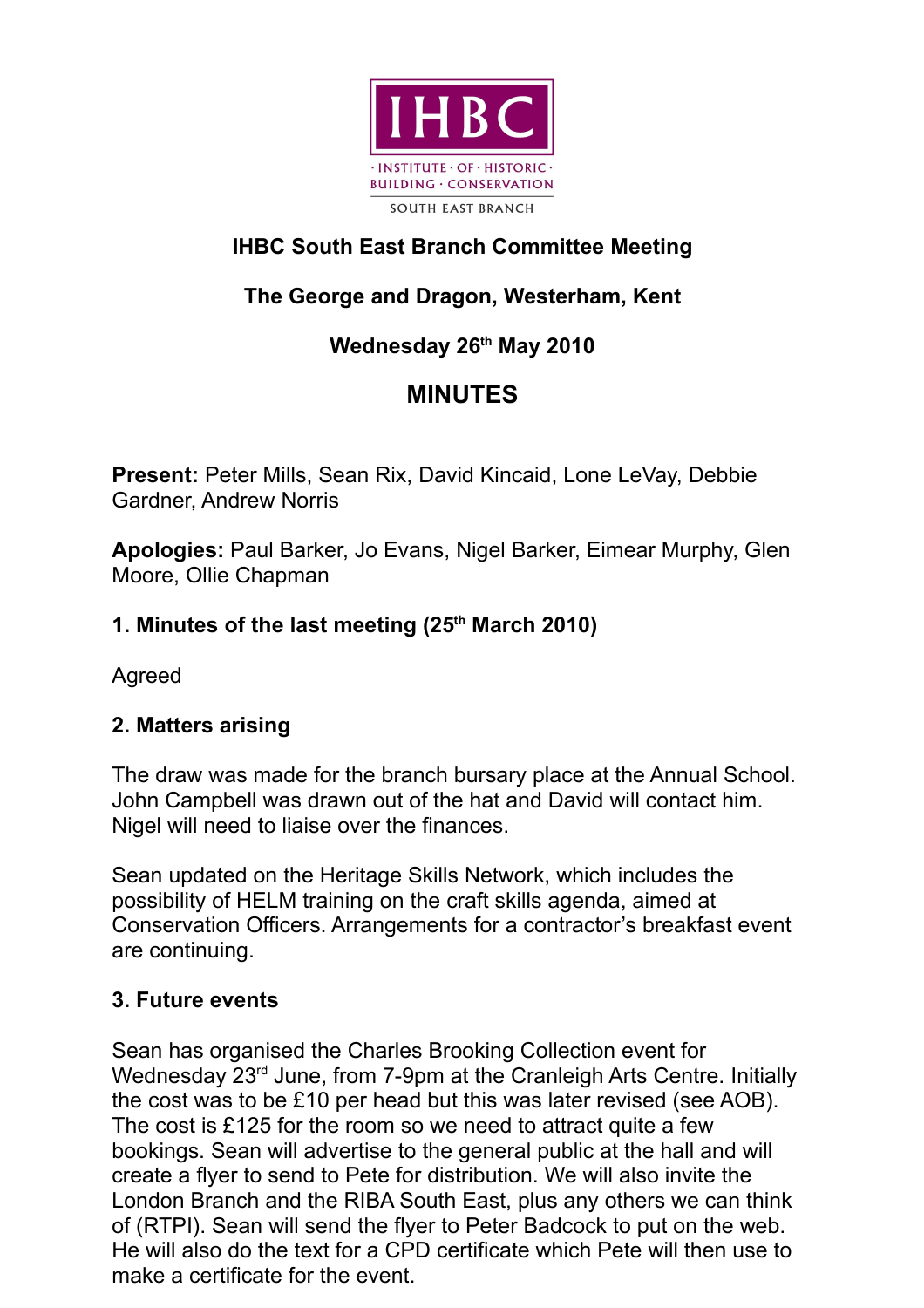

## **IHBC South East Branch Committee Meeting**

# **The George and Dragon, Westerham, Kent**

## **Wednesday 26th May 2010**

# **MINUTES**

**Present:** Peter Mills, Sean Rix, David Kincaid, Lone LeVay, Debbie Gardner, Andrew Norris

**Apologies:** Paul Barker, Jo Evans, Nigel Barker, Eimear Murphy, Glen Moore, Ollie Chapman

## **1. Minutes of the last meeting (25th March 2010)**

Agreed

## **2. Matters arising**

The draw was made for the branch bursary place at the Annual School. John Campbell was drawn out of the hat and David will contact him. Nigel will need to liaise over the finances.

Sean updated on the Heritage Skills Network, which includes the possibility of HELM training on the craft skills agenda, aimed at Conservation Officers. Arrangements for a contractor's breakfast event are continuing.

## **3. Future events**

Sean has organised the Charles Brooking Collection event for Wednesday 23<sup>rd</sup> June, from 7-9pm at the Cranleigh Arts Centre. Initially the cost was to be £10 per head but this was later revised (see AOB). The cost is £125 for the room so we need to attract quite a few bookings. Sean will advertise to the general public at the hall and will create a flyer to send to Pete for distribution. We will also invite the London Branch and the RIBA South East, plus any others we can think of (RTPI). Sean will send the flyer to Peter Badcock to put on the web. He will also do the text for a CPD certificate which Pete will then use to make a certificate for the event.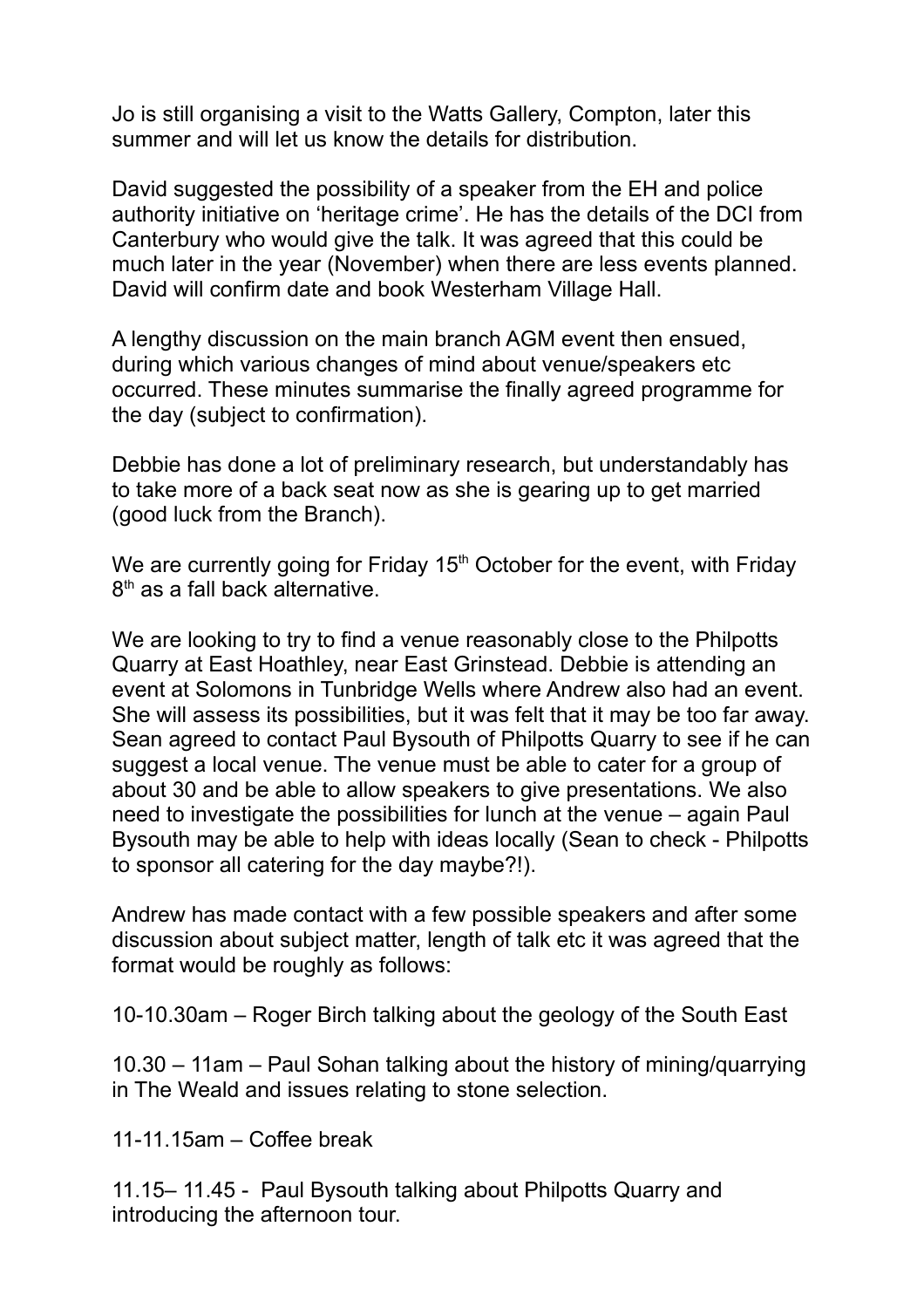Jo is still organising a visit to the Watts Gallery, Compton, later this summer and will let us know the details for distribution.

David suggested the possibility of a speaker from the EH and police authority initiative on 'heritage crime'. He has the details of the DCI from Canterbury who would give the talk. It was agreed that this could be much later in the year (November) when there are less events planned. David will confirm date and book Westerham Village Hall.

A lengthy discussion on the main branch AGM event then ensued, during which various changes of mind about venue/speakers etc occurred. These minutes summarise the finally agreed programme for the day (subject to confirmation).

Debbie has done a lot of preliminary research, but understandably has to take more of a back seat now as she is gearing up to get married (good luck from the Branch).

We are currently going for Friday 15<sup>th</sup> October for the event, with Friday 8<sup>th</sup> as a fall back alternative.

We are looking to try to find a venue reasonably close to the Philpotts Quarry at East Hoathley, near East Grinstead. Debbie is attending an event at Solomons in Tunbridge Wells where Andrew also had an event. She will assess its possibilities, but it was felt that it may be too far away. Sean agreed to contact Paul Bysouth of Philpotts Quarry to see if he can suggest a local venue. The venue must be able to cater for a group of about 30 and be able to allow speakers to give presentations. We also need to investigate the possibilities for lunch at the venue – again Paul Bysouth may be able to help with ideas locally (Sean to check - Philpotts to sponsor all catering for the day maybe?!).

Andrew has made contact with a few possible speakers and after some discussion about subject matter, length of talk etc it was agreed that the format would be roughly as follows:

10-10.30am – Roger Birch talking about the geology of the South East

10.30 – 11am – Paul Sohan talking about the history of mining/quarrying in The Weald and issues relating to stone selection.

11-11.15am – Coffee break

11.15– 11.45 - Paul Bysouth talking about Philpotts Quarry and introducing the afternoon tour.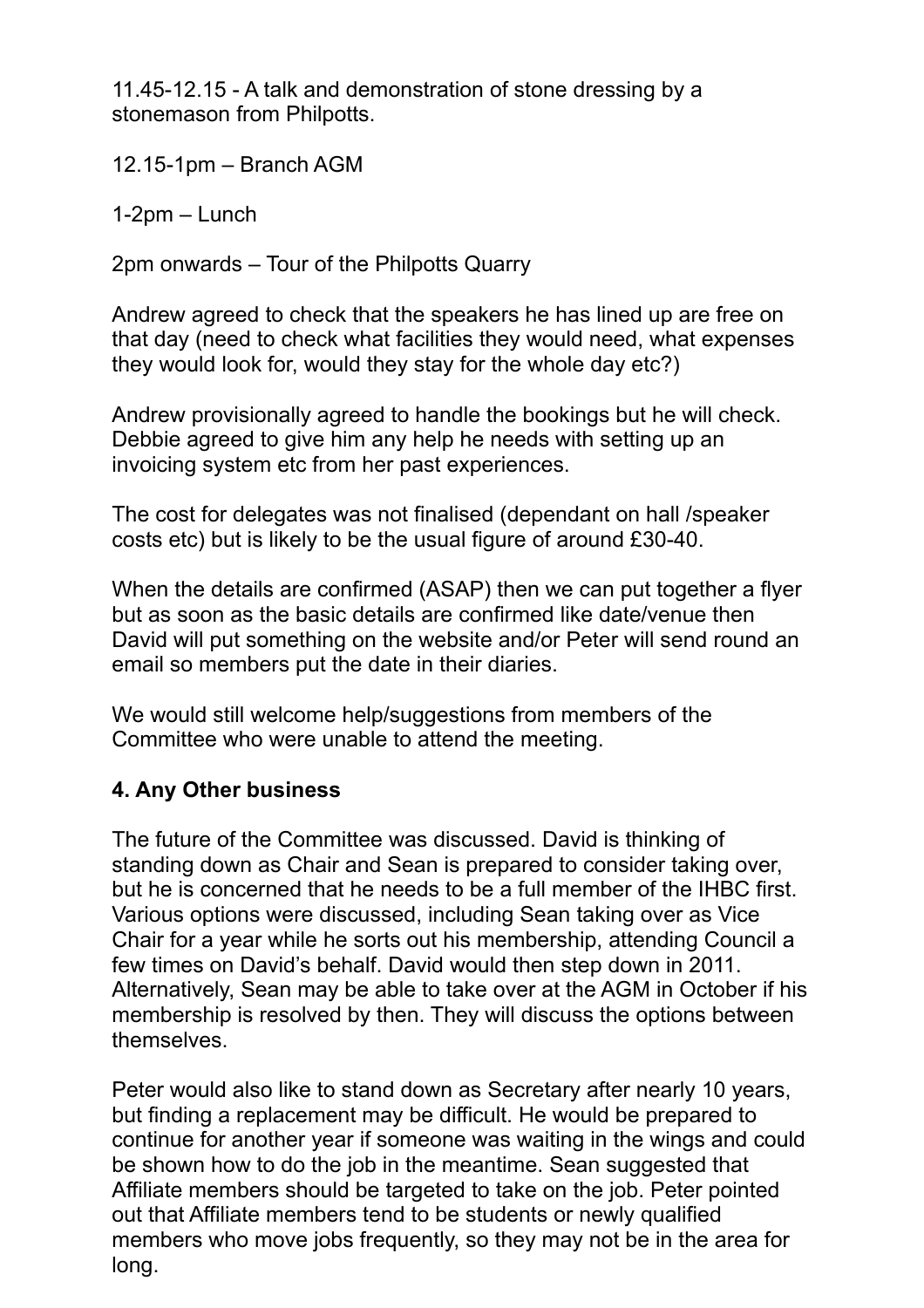11.45-12.15 - A talk and demonstration of stone dressing by a stonemason from Philpotts.

12.15-1pm – Branch AGM

1-2pm – Lunch

2pm onwards – Tour of the Philpotts Quarry

Andrew agreed to check that the speakers he has lined up are free on that day (need to check what facilities they would need, what expenses they would look for, would they stay for the whole day etc?)

Andrew provisionally agreed to handle the bookings but he will check. Debbie agreed to give him any help he needs with setting up an invoicing system etc from her past experiences.

The cost for delegates was not finalised (dependant on hall /speaker costs etc) but is likely to be the usual figure of around £30-40.

When the details are confirmed (ASAP) then we can put together a flyer but as soon as the basic details are confirmed like date/venue then David will put something on the website and/or Peter will send round an email so members put the date in their diaries.

We would still welcome help/suggestions from members of the Committee who were unable to attend the meeting.

## **4. Any Other business**

The future of the Committee was discussed. David is thinking of standing down as Chair and Sean is prepared to consider taking over, but he is concerned that he needs to be a full member of the IHBC first. Various options were discussed, including Sean taking over as Vice Chair for a year while he sorts out his membership, attending Council a few times on David's behalf. David would then step down in 2011. Alternatively, Sean may be able to take over at the AGM in October if his membership is resolved by then. They will discuss the options between themselves.

Peter would also like to stand down as Secretary after nearly 10 years, but finding a replacement may be difficult. He would be prepared to continue for another year if someone was waiting in the wings and could be shown how to do the job in the meantime. Sean suggested that Affiliate members should be targeted to take on the job. Peter pointed out that Affiliate members tend to be students or newly qualified members who move jobs frequently, so they may not be in the area for long.